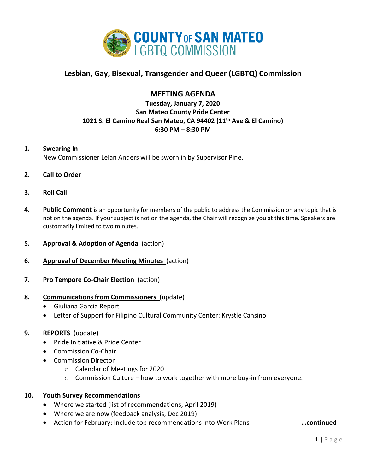

# **Lesbian, Gay, Bisexual, Transgender and Queer (LGBTQ) Commission**

## **MEETING AGENDA**

## **Tuesday, January 7, 2020 San Mateo County Pride Center 1021 S. El Camino Real San Mateo, CA 94402 (11th Ave & El Camino) 6:30 PM – 8:30 PM**

#### **1. Swearing In**

New Commissioner Lelan Anders will be sworn in by Supervisor Pine.

### **2. Call to Order**

#### **3. Roll Call**

- **4. Public Comment** is an opportunity for members of the public to address the Commission on any topic that is not on the agenda. If your subject is not on the agenda, the Chair will recognize you at this time. Speakers are customarily limited to two minutes.
- **5. Approval & Adoption of Agenda** (action)
- **6. Approval of December Meeting Minutes** (action)
- **7. Pro Tempore Co-Chair Election** (action)

#### **8. Communications from Commissioners** (update)

- Giuliana Garcia Report
- Letter of Support for Filipino Cultural Community Center: Krystle Cansino

#### **9. REPORTS** (update)

- Pride Initiative & Pride Center
- Commission Co-Chair
- Commission Director
	- o Calendar of Meetings for 2020
	- $\circ$  Commission Culture how to work together with more buy-in from everyone.

#### **10. Youth Survey Recommendations**

- Where we started (list of recommendations, April 2019)
- Where we are now (feedback analysis, Dec 2019)
- Action for February: Include top recommendations into Work Plans **…continued**